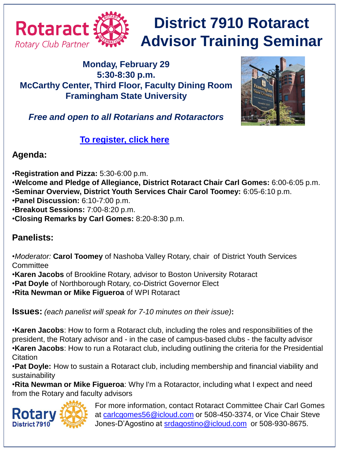

# **District 7910 Rotaract Advisor Training Seminar**

### **Monday, February 29 5:30-8:30 p.m. McCarthy Center, Third Floor, Faculty Dining Room Framingham State University**



*Free and open to all Rotarians and Rotaractors*

**[To register, click here](http://rotary7910.org/event/district-rotaract-advisor-training-seminar-2/)**

### **Agenda:**

- •**Registration and Pizza:** 5:30-6:00 p.m.
- •**Welcome and Pledge of Allegiance, District Rotaract Chair Carl Gomes:** 6:00-6:05 p.m. •**Seminar Overview, District Youth Services Chair Carol Toomey:** 6:05-6:10 p.m.
- •**Panel Discussion:** 6:10-7:00 p.m.
- •**Breakout Sessions:** 7:00-8:20 p.m.
- •**Closing Remarks by Carl Gomes:** 8:20-8:30 p.m.

## **Panelists:**

•*Moderator:* **Carol Toomey** of Nashoba Valley Rotary, chair of District Youth Services **Committee** 

- •**Karen Jacobs** of Brookline Rotary, advisor to Boston University Rotaract
- •**Pat Doyle** of Northborough Rotary, co-District Governor Elect
- •**Rita Newman or Mike Figueroa** of WPI Rotaract

**Issues:** *(each panelist will speak for 7-10 minutes on their issue)***:**

•**Karen Jacobs**: How to form a Rotaract club, including the roles and responsibilities of the president, the Rotary advisor and - in the case of campus-based clubs - the faculty advisor •**Karen Jacobs**: How to run a Rotaract club, including outlining the criteria for the Presidential **Citation** 

•**Pat Doyle:** How to sustain a Rotaract club, including membership and financial viability and sustainability

•**Rita Newman or Mike Figueroa**: Why I'm a Rotaractor, including what I expect and need from the Rotary and faculty advisors



For more information, contact Rotaract Committee Chair Carl Gomes at [carlcgomes56@icloud.com](mailto:carlcgomes56@icloud.com) or 508-450-3374, or Vice Chair Steve Jones-D'Agostino at [srdagostino@icloud.com](mailto:srdagostino@icloud.com) or 508-930-8675.